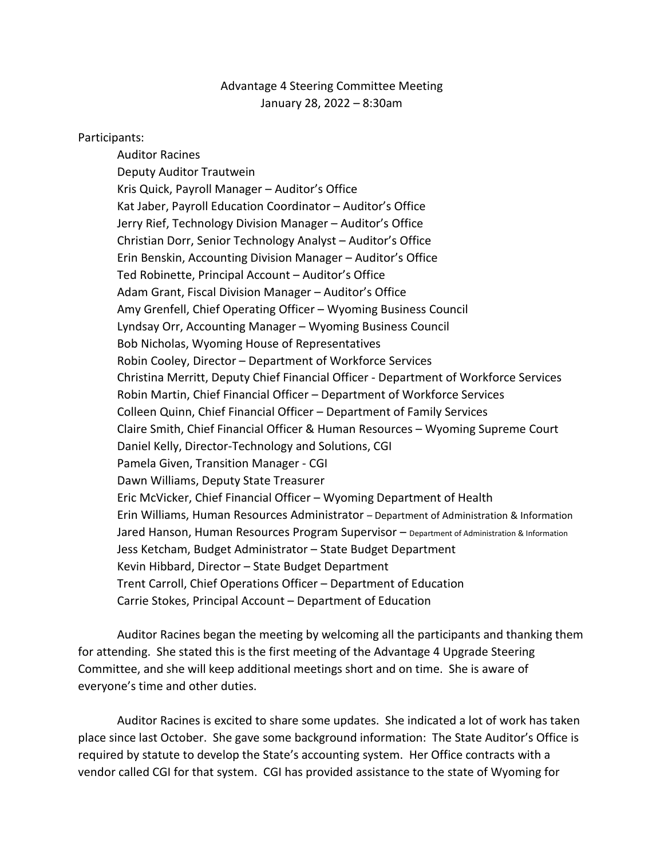## Advantage 4 Steering Committee Meeting January 28, 2022 – 8:30am

## Participants:

Auditor Racines Deputy Auditor Trautwein Kris Quick, Payroll Manager – Auditor's Office Kat Jaber, Payroll Education Coordinator – Auditor's Office Jerry Rief, Technology Division Manager – Auditor's Office Christian Dorr, Senior Technology Analyst – Auditor's Office Erin Benskin, Accounting Division Manager – Auditor's Office Ted Robinette, Principal Account – Auditor's Office Adam Grant, Fiscal Division Manager – Auditor's Office Amy Grenfell, Chief Operating Officer – Wyoming Business Council Lyndsay Orr, Accounting Manager – Wyoming Business Council Bob Nicholas, Wyoming House of Representatives Robin Cooley, Director – Department of Workforce Services Christina Merritt, Deputy Chief Financial Officer - Department of Workforce Services Robin Martin, Chief Financial Officer – Department of Workforce Services Colleen Quinn, Chief Financial Officer – Department of Family Services Claire Smith, Chief Financial Officer & Human Resources – Wyoming Supreme Court Daniel Kelly, Director-Technology and Solutions, CGI Pamela Given, Transition Manager - CGI Dawn Williams, Deputy State Treasurer Eric McVicker, Chief Financial Officer – Wyoming Department of Health Erin Williams, Human Resources Administrator – Department of Administration & Information Jared Hanson, Human Resources Program Supervisor - Department of Administration & Information Jess Ketcham, Budget Administrator – State Budget Department Kevin Hibbard, Director – State Budget Department Trent Carroll, Chief Operations Officer – Department of Education Carrie Stokes, Principal Account – Department of Education

Auditor Racines began the meeting by welcoming all the participants and thanking them for attending. She stated this is the first meeting of the Advantage 4 Upgrade Steering Committee, and she will keep additional meetings short and on time. She is aware of everyone's time and other duties.

Auditor Racines is excited to share some updates. She indicated a lot of work has taken place since last October. She gave some background information: The State Auditor's Office is required by statute to develop the State's accounting system. Her Office contracts with a vendor called CGI for that system. CGI has provided assistance to the state of Wyoming for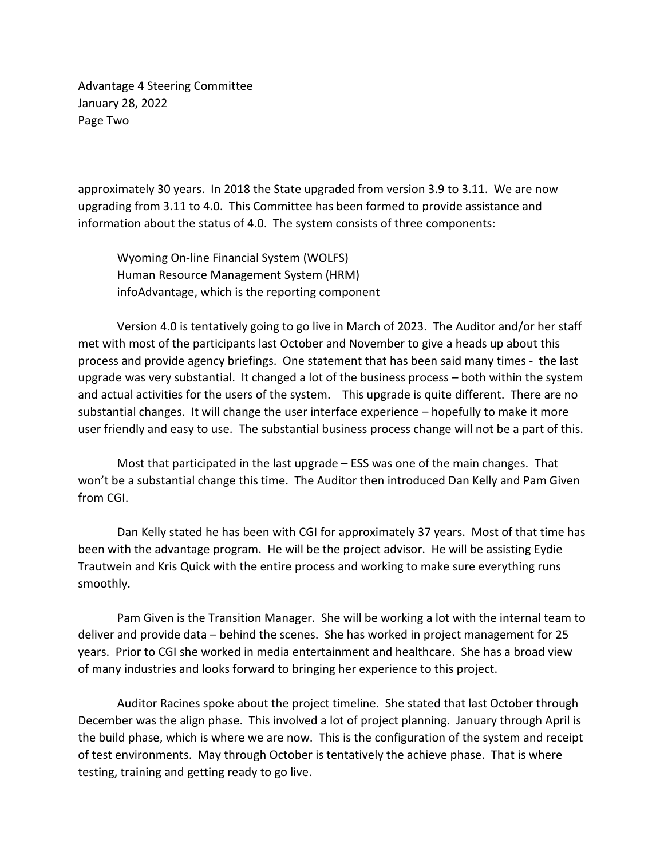Advantage 4 Steering Committee January 28, 2022 Page Two

approximately 30 years. In 2018 the State upgraded from version 3.9 to 3.11. We are now upgrading from 3.11 to 4.0. This Committee has been formed to provide assistance and information about the status of 4.0. The system consists of three components:

Wyoming On-line Financial System (WOLFS) Human Resource Management System (HRM) infoAdvantage, which is the reporting component

Version 4.0 is tentatively going to go live in March of 2023. The Auditor and/or her staff met with most of the participants last October and November to give a heads up about this process and provide agency briefings. One statement that has been said many times - the last upgrade was very substantial. It changed a lot of the business process – both within the system and actual activities for the users of the system. This upgrade is quite different. There are no substantial changes. It will change the user interface experience – hopefully to make it more user friendly and easy to use. The substantial business process change will not be a part of this.

Most that participated in the last upgrade – ESS was one of the main changes. That won't be a substantial change this time. The Auditor then introduced Dan Kelly and Pam Given from CGI.

Dan Kelly stated he has been with CGI for approximately 37 years. Most of that time has been with the advantage program. He will be the project advisor. He will be assisting Eydie Trautwein and Kris Quick with the entire process and working to make sure everything runs smoothly.

Pam Given is the Transition Manager. She will be working a lot with the internal team to deliver and provide data – behind the scenes. She has worked in project management for 25 years. Prior to CGI she worked in media entertainment and healthcare. She has a broad view of many industries and looks forward to bringing her experience to this project.

Auditor Racines spoke about the project timeline. She stated that last October through December was the align phase. This involved a lot of project planning. January through April is the build phase, which is where we are now. This is the configuration of the system and receipt of test environments. May through October is tentatively the achieve phase. That is where testing, training and getting ready to go live.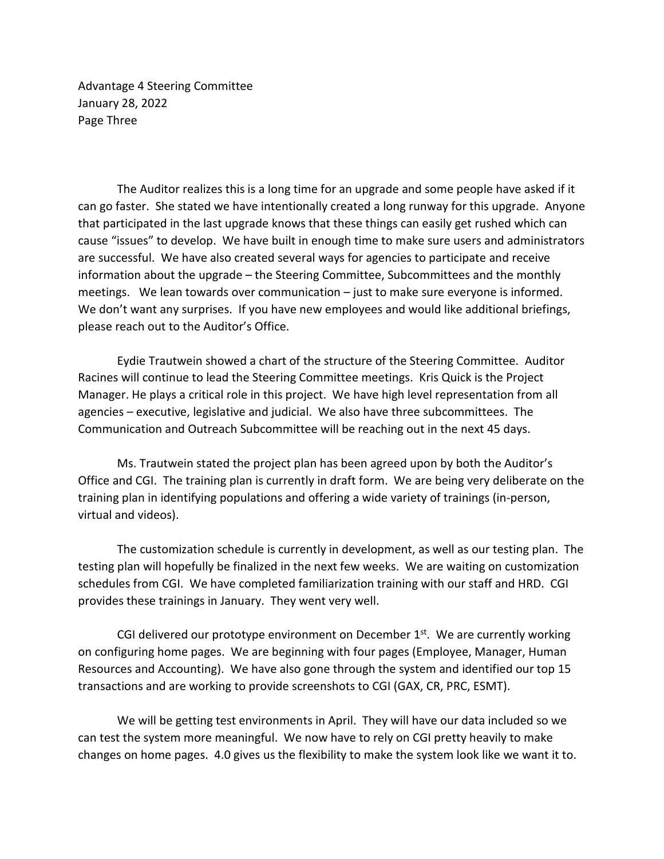Advantage 4 Steering Committee January 28, 2022 Page Three

The Auditor realizes this is a long time for an upgrade and some people have asked if it can go faster. She stated we have intentionally created a long runway for this upgrade. Anyone that participated in the last upgrade knows that these things can easily get rushed which can cause "issues" to develop. We have built in enough time to make sure users and administrators are successful. We have also created several ways for agencies to participate and receive information about the upgrade – the Steering Committee, Subcommittees and the monthly meetings. We lean towards over communication – just to make sure everyone is informed. We don't want any surprises. If you have new employees and would like additional briefings, please reach out to the Auditor's Office.

Eydie Trautwein showed a chart of the structure of the Steering Committee. Auditor Racines will continue to lead the Steering Committee meetings. Kris Quick is the Project Manager. He plays a critical role in this project. We have high level representation from all agencies – executive, legislative and judicial. We also have three subcommittees. The Communication and Outreach Subcommittee will be reaching out in the next 45 days.

Ms. Trautwein stated the project plan has been agreed upon by both the Auditor's Office and CGI. The training plan is currently in draft form. We are being very deliberate on the training plan in identifying populations and offering a wide variety of trainings (in-person, virtual and videos).

The customization schedule is currently in development, as well as our testing plan. The testing plan will hopefully be finalized in the next few weeks. We are waiting on customization schedules from CGI. We have completed familiarization training with our staff and HRD. CGI provides these trainings in January. They went very well.

CGI delivered our prototype environment on December  $1<sup>st</sup>$ . We are currently working on configuring home pages. We are beginning with four pages (Employee, Manager, Human Resources and Accounting). We have also gone through the system and identified our top 15 transactions and are working to provide screenshots to CGI (GAX, CR, PRC, ESMT).

We will be getting test environments in April. They will have our data included so we can test the system more meaningful. We now have to rely on CGI pretty heavily to make changes on home pages. 4.0 gives us the flexibility to make the system look like we want it to.